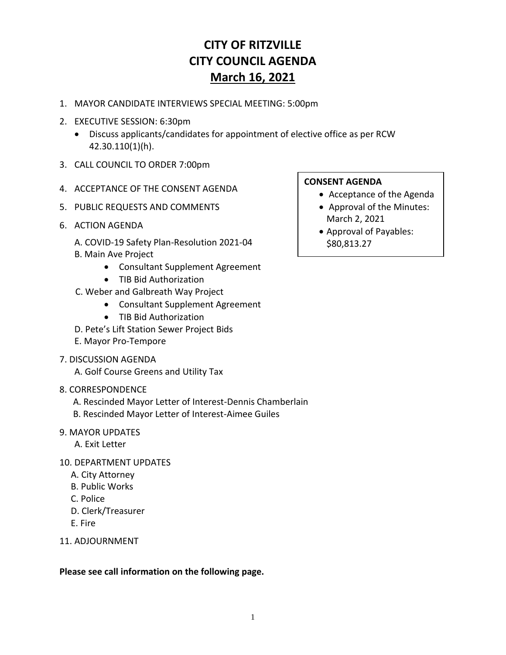## **CITY OF RITZVILLE CITY COUNCIL AGENDA March 16, 2021**

- 1. MAYOR CANDIDATE INTERVIEWS SPECIAL MEETING: 5:00pm
- 2. EXECUTIVE SESSION: 6:30pm
	- Discuss applicants/candidates for appointment of elective office as per RCW 42.30.110(1)(h).
- 3. CALL COUNCIL TO ORDER 7:00pm
- 4. ACCEPTANCE OF THE CONSENT AGENDA
- 5. PUBLIC REQUESTS AND COMMENTS
- 6. ACTION AGENDA
	- A. COVID-19 Safety Plan-Resolution 2021-04
	- B. Main Ave Project
		- Consultant Supplement Agreement
		- TIB Bid Authorization
	- C. Weber and Galbreath Way Project
		- Consultant Supplement Agreement
		- TIB Bid Authorization
	- D. Pete's Lift Station Sewer Project Bids
	- E. Mayor Pro-Tempore
- 7. DISCUSSION AGENDA

A. Golf Course Greens and Utility Tax

- 8. CORRESPONDENCE
	- A. Rescinded Mayor Letter of Interest-Dennis Chamberlain
	- B. Rescinded Mayor Letter of Interest-Aimee Guiles

## 9. MAYOR UPDATES

- A. Exit Letter
- 10. DEPARTMENT UPDATES
	- A. City Attorney
	- B. Public Works
	- C. Police
	- D. Clerk/Treasurer
	- E. Fire
- 11. ADJOURNMENT

**Please see call information on the following page.**

## **CONSENT AGENDA**

- Acceptance of the Agenda
- Approval of the Minutes: March 2, 2021
- Approval of Payables: \$80,813.27